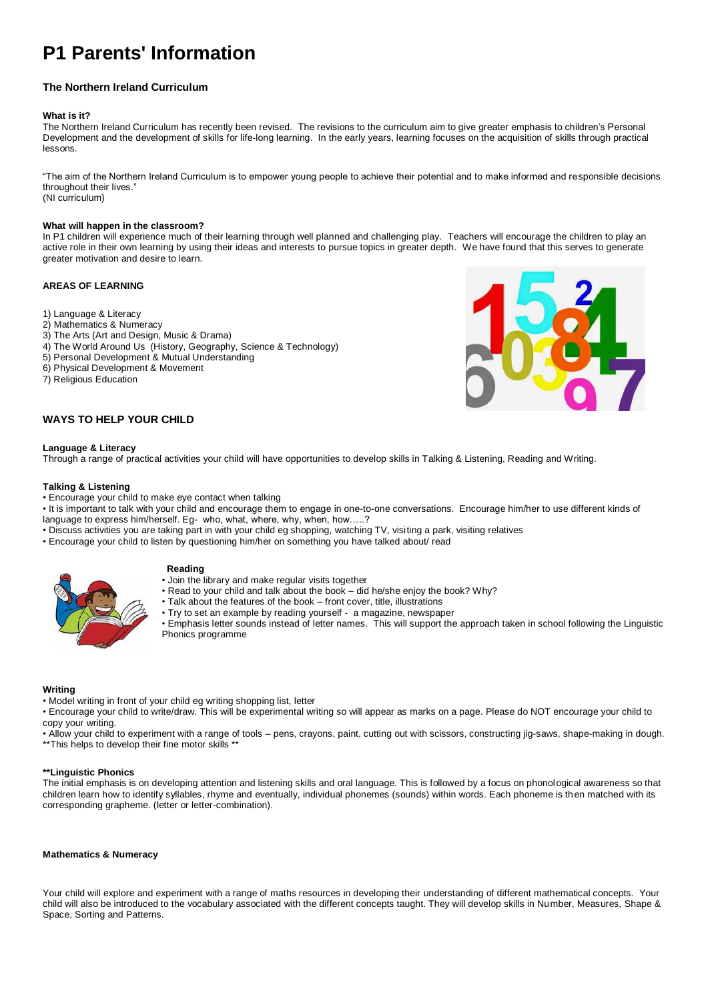# **P1 Parents' Information**

## **The Northern Ireland Curriculum**

#### **What is it?**

The Northern Ireland Curriculum has recently been revised. The revisions to the curriculum aim to give greater emphasis to children's Personal Development and the development of skills for life-long learning. In the early years, learning focuses on the acquisition of skills through practical lessons.

"The aim of the Northern Ireland Curriculum is to empower young people to achieve their potential and to make informed and responsible decisions throughout their lives." (NI curriculum)

## **What will happen in the classroom?**

In P1 children will experience much of their learning through well planned and challenging play. Teachers will encourage the children to play an active role in their own learning by using their ideas and interests to pursue topics in greater depth. We have found that this serves to generate greater motivation and desire to learn.

## **AREAS OF LEARNING**

- 1) Language & Literacy
- 2) Mathematics & Numeracy
- 3) The Arts (Art and Design, Music & Drama)
- 4) The World Around Us (History, Geography, Science & Technology)
- 5) Personal Development & Mutual Understanding
- 6) Physical Development & Movement
- 7) Religious Education

## **WAYS TO HELP YOUR CHILD**

#### **Language & Literacy**

Through a range of practical activities your child will have opportunities to develop skills in Talking & Listening, Reading and Writing.

#### **Talking & Listening**

- Encourage your child to make eye contact when talking
- It is important to talk with your child and encourage them to engage in one-to-one conversations. Encourage him/her to use different kinds of language to express him/herself. Eg- who, what, where, why, when, how…..?
- Discuss activities you are taking part in with your child eg shopping, watching TV, visiting a park, visiting relatives
- Encourage your child to listen by questioning him/her on something you have talked about/ read



## **Reading**

- Join the library and make regular visits together
- Read to your child and talk about the book did he/she enjoy the book? Why?
	- Talk about the features of the book front cover, title, illustrations
	- Try to set an example by reading yourself a magazine, newspaper

• Emphasis letter sounds instead of letter names. This will support the approach taken in school following the Linguistic Phonics programme

#### **Writing**

• Model writing in front of your child eg writing shopping list, letter

• Encourage your child to write/draw. This will be experimental writing so will appear as marks on a page. Please do NOT encourage your child to copy your writing.

• Allow your child to experiment with a range of tools – pens, crayons, paint, cutting out with scissors, constructing jig-saws, shape-making in dough. \*\*This helps to develop their fine motor skills \*

## **\*\*Linguistic Phonics**

The initial emphasis is on developing attention and listening skills and oral language. This is followed by a focus on phonological awareness so that children learn how to identify syllables, rhyme and eventually, individual phonemes (sounds) within words. Each phoneme is then matched with its corresponding grapheme. (letter or letter-combination).

#### **Mathematics & Numeracy**

Your child will explore and experiment with a range of maths resources in developing their understanding of different mathematical concepts. Your child will also be introduced to the vocabulary associated with the different concepts taught. They will develop skills in Number, Measures, Shape & Space, Sorting and Patterns.

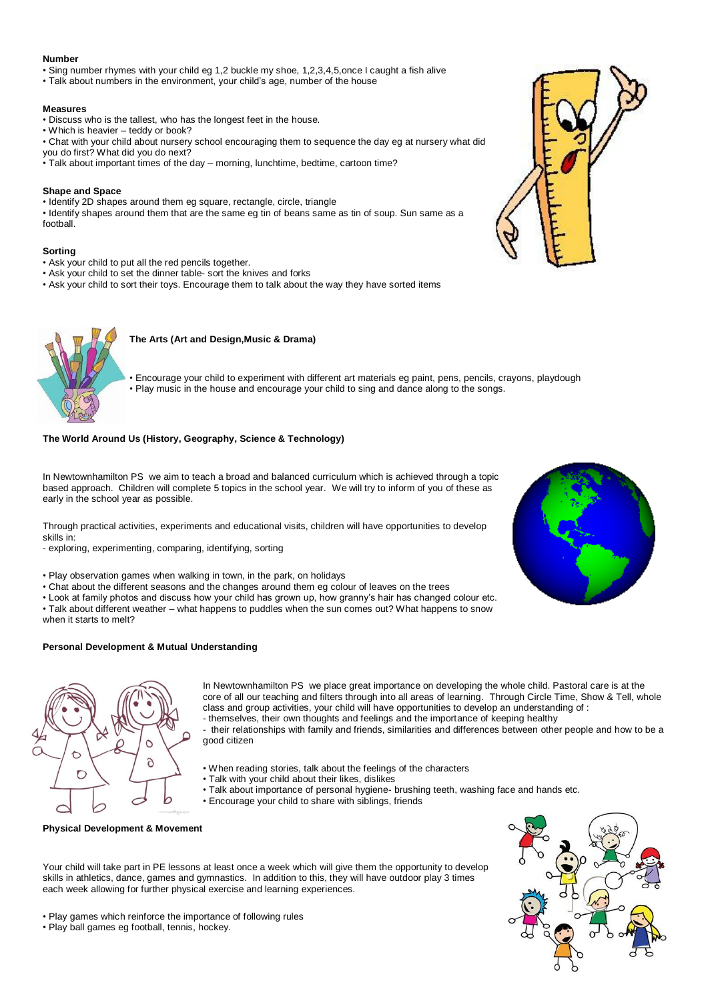## **Number**

• Sing number rhymes with your child eg 1,2 buckle my shoe, 1,2,3,4,5,once I caught a fish alive

• Talk about numbers in the environment, your child's age, number of the house

## **Measures**

- Discuss who is the tallest, who has the longest feet in the house.
- Which is heavier teddy or book?
- Chat with your child about nursery school encouraging them to sequence the day eg at nursery what did
- you do first? What did you do next?
- Talk about important times of the day morning, lunchtime, bedtime, cartoon time?

## **Shape and Space**

• Identify 2D shapes around them eg square, rectangle, circle, triangle

• Identify shapes around them that are the same eg tin of beans same as tin of soup. Sun same as a football.

## **Sorting**

- Ask your child to put all the red pencils together.
- Ask your child to set the dinner table- sort the knives and forks
- Ask your child to sort their toys. Encourage them to talk about the way they have sorted items



## **The Arts (Art and Design,Music & Drama)**

• Encourage your child to experiment with different art materials eg paint, pens, pencils, crayons, playdough • Play music in the house and encourage your child to sing and dance along to the songs.

## **The World Around Us (History, Geography, Science & Technology)**

In Newtownhamilton PS we aim to teach a broad and balanced curriculum which is achieved through a topic based approach. Children will complete 5 topics in the school year. We will try to inform of you of these as early in the school year as possible.

Through practical activities, experiments and educational visits, children will have opportunities to develop skills in:

- exploring, experimenting, comparing, identifying, sorting



- Chat about the different seasons and the changes around them eg colour of leaves on the trees
- Look at family photos and discuss how your child has grown up, how granny's hair has changed colour etc.
- Talk about different weather what happens to puddles when the sun comes out? What happens to snow
- when it starts to melt?

## **Personal Development & Mutual Understanding**





In Newtownhamilton PS we place great importance on developing the whole child. Pastoral care is at the core of all our teaching and filters through into all areas of learning. Through Circle Time, Show & Tell, whole class and group activities, your child will have opportunities to develop an understanding of : - themselves, their own thoughts and feelings and the importance of keeping healthy

- their relationships with family and friends, similarities and differences between other people and how to be a good citizen

- When reading stories, talk about the feelings of the characters
- Talk with your child about their likes, dislikes
- Talk about importance of personal hygiene- brushing teeth, washing face and hands etc.
- Encourage your child to share with siblings, friends



**Physical Development & Movement**

Your child will take part in PE lessons at least once a week which will give them the opportunity to develop skills in athletics, dance, games and gymnastics. In addition to this, they will have outdoor play 3 times each week allowing for further physical exercise and learning experiences.

• Play games which reinforce the importance of following rules

• Play ball games eg football, tennis, hockey.